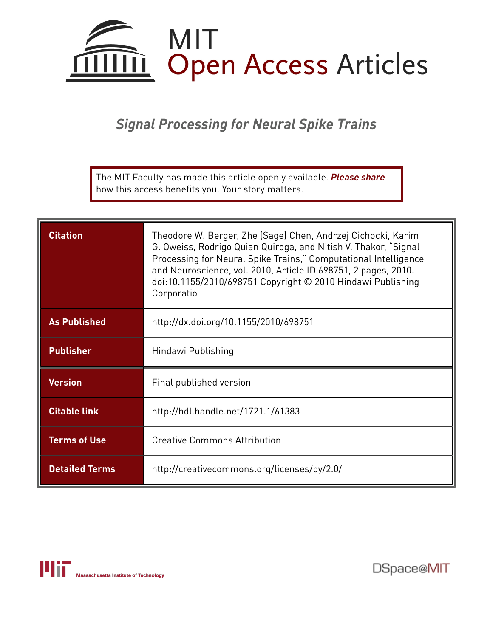

*Signal Processing for Neural Spike Trains*

The MIT Faculty has made this article openly available. *[Please](https://libraries.mit.edu/forms/dspace-oa-articles.html) share* how this access benefits you. Your story matters.

| <b>Citation</b>       | Theodore W. Berger, Zhe (Sage) Chen, Andrzej Cichocki, Karim<br>G. Oweiss, Rodrigo Quian Quiroga, and Nitish V. Thakor, "Signal<br>Processing for Neural Spike Trains," Computational Intelligence<br>and Neuroscience, vol. 2010, Article ID 698751, 2 pages, 2010.<br>doi:10.1155/2010/698751 Copyright © 2010 Hindawi Publishing<br>Corporatio |
|-----------------------|---------------------------------------------------------------------------------------------------------------------------------------------------------------------------------------------------------------------------------------------------------------------------------------------------------------------------------------------------|
| <b>As Published</b>   | http://dx.doi.org/10.1155/2010/698751                                                                                                                                                                                                                                                                                                             |
| <b>Publisher</b>      | Hindawi Publishing                                                                                                                                                                                                                                                                                                                                |
| <b>Version</b>        | Final published version                                                                                                                                                                                                                                                                                                                           |
| <b>Citable link</b>   | http://hdl.handle.net/1721.1/61383                                                                                                                                                                                                                                                                                                                |
| <b>Terms of Use</b>   | <b>Creative Commons Attribution</b>                                                                                                                                                                                                                                                                                                               |
| <b>Detailed Terms</b> | http://creativecommons.org/licenses/by/2.0/                                                                                                                                                                                                                                                                                                       |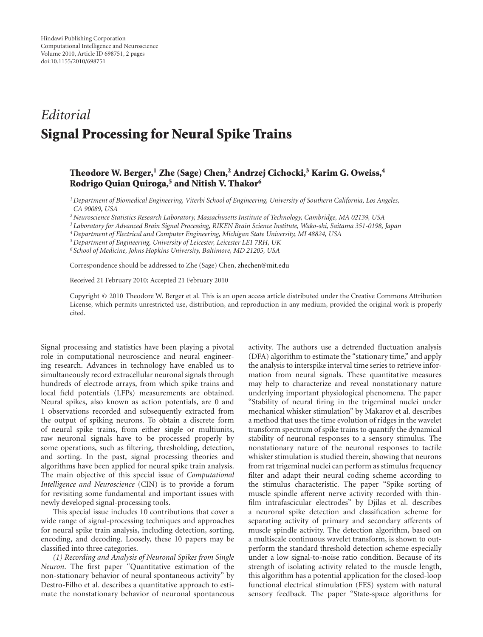## *Editorial* **Signal Processing for Neural Spike Trains**

## **Theodore W. Berger,1 Zhe (Sage) Chen,2 Andrzej Cichocki,3 Karim G. Oweiss,4 Rodrigo Quian Quiroga,5 and Nitish V. Thakor6**

*1Department of Biomedical Engineering, Viterbi School of Engineering, University of Southern California, Los Angeles, CA 90089, USA*

*2Neuroscience Statistics Research Laboratory, Massachusetts Institute of Technology, Cambridge, MA 02139, USA*

*<sup>3</sup> Laboratory for Advanced Brain Signal Processing, RIKEN Brain Science Institute, Wako-shi, Saitama 351-0198, Japan*

*5Department of Engineering, University of Leicester, Leicester LE1 7RH, UK*

*<sup>6</sup> School of Medicine, Johns Hopkins University, Baltimore, MD 21205, USA*

Correspondence should be addressed to Zhe (Sage) Chen, zhechen@mit.edu

Received 21 February 2010; Accepted 21 February 2010

Copyright © 2010 Theodore W. Berger et al. This is an open access article distributed under the Creative Commons Attribution License, which permits unrestricted use, distribution, and reproduction in any medium, provided the original work is properly cited.

Signal processing and statistics have been playing a pivotal role in computational neuroscience and neural engineering research. Advances in technology have enabled us to simultaneously record extracellular neuronal signals through hundreds of electrode arrays, from which spike trains and local field potentials (LFPs) measurements are obtained. Neural spikes, also known as action potentials, are 0 and 1 observations recorded and subsequently extracted from the output of spiking neurons. To obtain a discrete form of neural spike trains, from either single or multiunits, raw neuronal signals have to be processed properly by some operations, such as filtering, thresholding, detection, and sorting. In the past, signal processing theories and algorithms have been applied for neural spike train analysis. The main objective of this special issue of *Computational Intelligence and Neuroscience* (CIN) is to provide a forum for revisiting some fundamental and important issues with newly developed signal-processing tools.

This special issue includes 10 contributions that cover a wide range of signal-processing techniques and approaches for neural spike train analysis, including detection, sorting, encoding, and decoding. Loosely, these 10 papers may be classified into three categories.

*(1) Recording and Analysis of Neuronal Spikes from Single Neuron*. The first paper "Quantitative estimation of the non-stationary behavior of neural spontaneous activity" by Destro-Filho et al. describes a quantitative approach to estimate the nonstationary behavior of neuronal spontaneous activity. The authors use a detrended fluctuation analysis (DFA) algorithm to estimate the "stationary time," and apply the analysis to interspike interval time series to retrieve information from neural signals. These quantitative measures may help to characterize and reveal nonstationary nature underlying important physiological phenomena. The paper "Stability of neural firing in the trigeminal nuclei under mechanical whisker stimulation" by Makarov et al. describes a method that uses the time evolution of ridges in the wavelet transform spectrum of spike trains to quantify the dynamical stability of neuronal responses to a sensory stimulus. The nonstationary nature of the neuronal responses to tactile whisker stimulation is studied therein, showing that neurons from rat trigeminal nuclei can perform as stimulus frequency filter and adapt their neural coding scheme according to the stimulus characteristic. The paper "Spike sorting of muscle spindle afferent nerve activity recorded with thinfilm intrafascicular electrodes" by Djilas et al. describes a neuronal spike detection and classification scheme for separating activity of primary and secondary afferents of muscle spindle activity. The detection algorithm, based on a multiscale continuous wavelet transform, is shown to outperform the standard threshold detection scheme especially under a low signal-to-noise ratio condition. Because of its strength of isolating activity related to the muscle length, this algorithm has a potential application for the closed-loop functional electrical stimulation (FES) system with natural sensory feedback. The paper "State-space algorithms for

*<sup>4</sup>Department of Electrical and Computer Engineering, Michigan State University, MI 48824, USA*